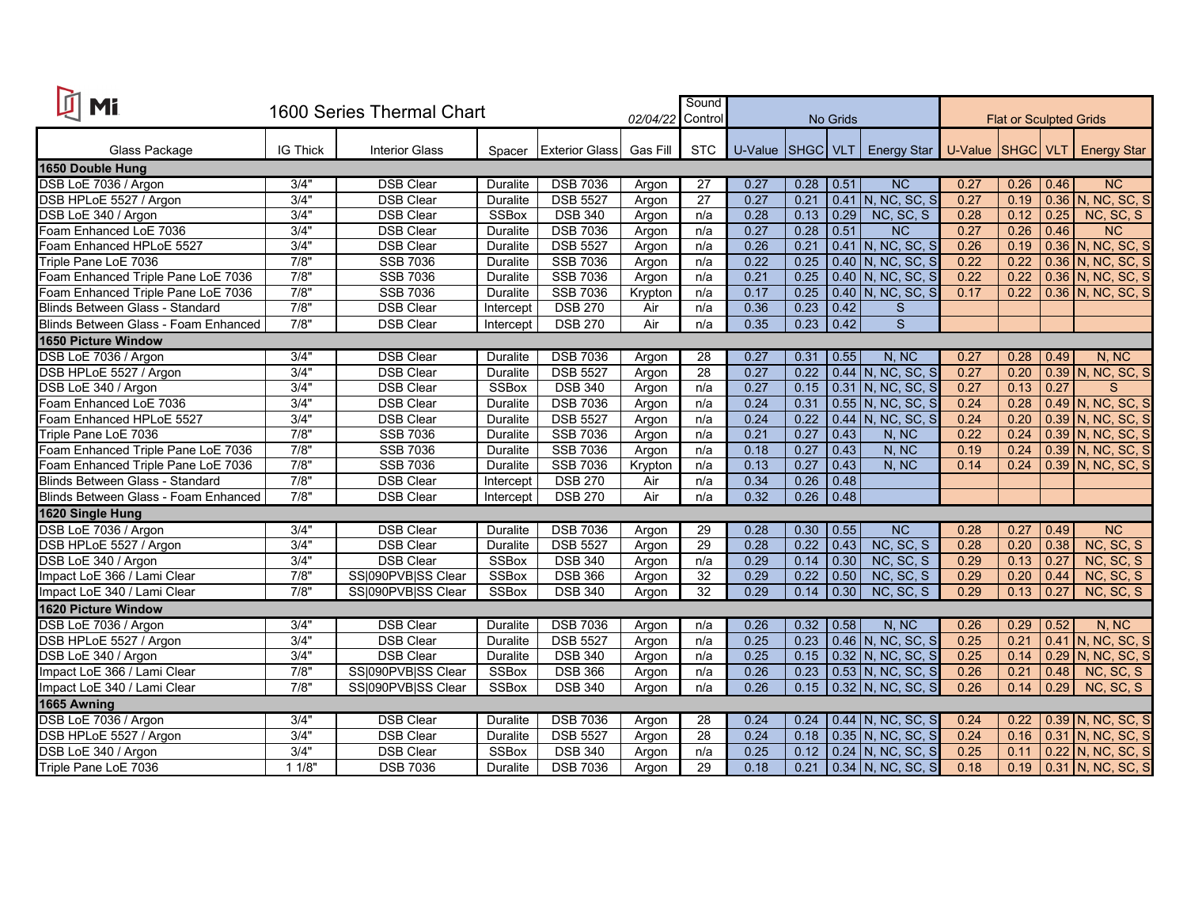| 面<br><b>Mi</b>                       | 1600 Series Thermal Chart |                       |                 |                       | 02/04/22 | Sound<br>Control | No Grids         |      |              | <b>Flat or Sculpted Grids</b>  |      |      |      |                     |
|--------------------------------------|---------------------------|-----------------------|-----------------|-----------------------|----------|------------------|------------------|------|--------------|--------------------------------|------|------|------|---------------------|
| Glass Package                        | <b>IG Thick</b>           | <b>Interior Glass</b> | Spacer          | <b>Exterior Glass</b> | Gas Fill | <b>STC</b>       | U-Value SHGC VLT |      |              | Energy Star   U-Value SHGC VLT |      |      |      | <b>Energy Star</b>  |
| 1650 Double Hung                     |                           |                       |                 |                       |          |                  |                  |      |              |                                |      |      |      |                     |
| DSB LoE 7036 / Argon                 | 3/4"                      | <b>DSB Clear</b>      | <b>Duralite</b> | <b>DSB 7036</b>       | Argon    | 27               | 0.27             | 0.28 | $\vert$ 0.51 | NC                             | 0.27 | 0.26 | 0.46 | <b>NC</b>           |
| DSB HPLoE 5527 / Argon               | 3/4"                      | <b>DSB Clear</b>      | Duralite        | <b>DSB 5527</b>       | Argon    | $\overline{27}$  | 0.27             | 0.21 |              | 0.41 N, NC, SC, S              | 0.27 | 0.19 |      | 0.36 N, NC, SC, S   |
| DSB LoE 340 / Argon                  | 3/4"                      | <b>DSB Clear</b>      | <b>SSBox</b>    | <b>DSB 340</b>        | Argon    | n/a              | 0.28             | 0.13 | 0.29         | NC, SC, S                      | 0.28 | 0.12 | 0.25 | NC, SC, S           |
| Foam Enhanced LoE 7036               | 3/4"                      | <b>DSB Clear</b>      | <b>Duralite</b> | <b>DSB 7036</b>       | Argon    | n/a              | 0.27             | 0.28 | 0.51         | <b>NC</b>                      | 0.27 | 0.26 | 0.46 | <b>NC</b>           |
| Foam Enhanced HPLoE 5527             | 3/4"                      | <b>DSB Clear</b>      | Duralite        | <b>DSB 5527</b>       | Argon    | n/a              | 0.26             | 0.21 |              | $0.41$ N, NC, SC, S            | 0.26 | 0.19 |      | 0.36 N, NC, SC, S   |
| Triple Pane LoE 7036                 | 7/8"                      | <b>SSB 7036</b>       | <b>Duralite</b> | <b>SSB 7036</b>       | Argon    | n/a              | 0.22             | 0.25 |              | 0.40 N, NC, SC, S              | 0.22 | 0.22 |      | 0.36 N, NC, SC, S   |
| Foam Enhanced Triple Pane LoE 7036   | 7/8"                      | <b>SSB 7036</b>       | <b>Duralite</b> | SSB 7036              | Argon    | n/a              | 0.21             | 0.25 |              | $0.40$ N, NC, SC, S            | 0.22 | 0.22 | 0.36 | N, NC, SC, S        |
| Foam Enhanced Triple Pane LoE 7036   | 7/8"                      | <b>SSB 7036</b>       | Duralite        | <b>SSB 7036</b>       | Krypton  | n/a              | 0.17             | 0.25 |              | $0.40$ N, NC, SC, S            | 0.17 | 0.22 | 0.36 | N, NC, SC, S        |
| Blinds Between Glass - Standard      | 7/8"                      | <b>DSB Clear</b>      | Intercept       | <b>DSB 270</b>        | Air      | n/a              | 0.36             | 0.23 | 0.42         | S                              |      |      |      |                     |
| Blinds Between Glass - Foam Enhanced | 7/8"                      | <b>DSB Clear</b>      | Intercept       | <b>DSB 270</b>        | Air      | n/a              | 0.35             | 0.23 | 0.42         | S                              |      |      |      |                     |
| <b>1650 Picture Window</b>           |                           |                       |                 |                       |          |                  |                  |      |              |                                |      |      |      |                     |
| DSB LoE 7036 / Argon                 | 3/4"                      | <b>DSB Clear</b>      | Duralite        | <b>DSB 7036</b>       | Argon    | $\overline{28}$  | 0.27             | 0.31 | 0.55         | N, NC                          | 0.27 | 0.28 | 0.49 | N, NC               |
| DSB HPLoE 5527 / Argon               | 3/4"                      | <b>DSB Clear</b>      | <b>Duralite</b> | <b>DSB 5527</b>       | Argon    | $\overline{28}$  | 0.27             | 0.22 |              | 0.44 N, NC, SC, S              | 0.27 | 0.20 |      | 0.39 N, NC, SC, S   |
| DSB LoE 340 / Argon                  | 3/4"                      | <b>DSB Clear</b>      | <b>SSBox</b>    | <b>DSB 340</b>        | Argon    | n/a              | 0.27             | 0.15 |              | 0.31 N, NC, SC, S              | 0.27 | 0.13 | 0.27 | S                   |
| Foam Enhanced LoE 7036               | 3/4"                      | <b>DSB Clear</b>      | <b>Duralite</b> | <b>DSB 7036</b>       | Argon    | n/a              | 0.24             | 0.31 |              | 0.55 N, NC, SC, S              | 0.24 | 0.28 |      | 0.49 N, NC, SC, S   |
| Foam Enhanced HPLoE 5527             | 3/4"                      | <b>DSB Clear</b>      | <b>Duralite</b> | <b>DSB 5527</b>       | Argon    | n/a              | 0.24             | 0.22 |              | $0.44$ N, NC, SC, S            | 0.24 | 0.20 |      | $0.39$ N, NC, SC, S |
| Triple Pane LoE 7036                 | 7/8"                      | SSB 7036              | Duralite        | <b>SSB 7036</b>       | Argon    | n/a              | 0.21             | 0.27 | 0.43         | N, NC                          | 0.22 | 0.24 | 0.39 | N, NC, SC, S        |
| Foam Enhanced Triple Pane LoE 7036   | 7/8"                      | <b>SSB 7036</b>       | <b>Duralite</b> | <b>SSB 7036</b>       | Argon    | n/a              | 0.18             | 0.27 | 0.43         | N, NC                          | 0.19 | 0.24 |      | $0.39$ N, NC, SC, S |
| Foam Enhanced Triple Pane LoE 7036   | 7/8"                      | <b>SSB 7036</b>       | Duralite        | <b>SSB 7036</b>       | Krypton  | n/a              | 0.13             | 0.27 | 0.43         | N, NC                          | 0.14 | 0.24 |      | $0.39$ N, NC, SC, S |
| Blinds Between Glass - Standard      | 7/8"                      | <b>DSB Clear</b>      | Intercept       | <b>DSB 270</b>        | Air      | n/a              | 0.34             | 0.26 | 0.48         |                                |      |      |      |                     |
| Blinds Between Glass - Foam Enhanced | 7/8"                      | <b>DSB Clear</b>      | Intercept       | <b>DSB 270</b>        | Air      | n/a              | 0.32             | 0.26 | 0.48         |                                |      |      |      |                     |
| 1620 Single Hung                     |                           |                       |                 |                       |          |                  |                  |      |              |                                |      |      |      |                     |
| DSB LoE 7036 / Argon                 | 3/4"                      | <b>DSB Clear</b>      | Duralite        | <b>DSB 7036</b>       | Argon    | 29               | 0.28             | 0.30 | 0.55         | $\overline{NC}$                | 0.28 | 0.27 | 0.49 | NC                  |
| DSB HPLoE 5527 / Argon               | 3/4"                      | <b>DSB Clear</b>      | Duralite        | <b>DSB 5527</b>       | Argon    | 29               | 0.28             | 0.22 | 0.43         | NC, SC, S                      | 0.28 | 0.20 | 0.38 | NC, SC, S           |
| DSB LoE 340 / Argon                  | 3/4"                      | <b>DSB Clear</b>      | <b>SSBox</b>    | <b>DSB 340</b>        | Argon    | n/a              | 0.29             | 0.14 | 0.30         | NC, SC, S                      | 0.29 | 0.13 | 0.27 | NC, SC, S           |
| Impact LoE 366 / Lami Clear          | 7/8"                      | SS 090PVB SS Clear    | <b>SSBox</b>    | <b>DSB 366</b>        | Argon    | $\overline{32}$  | 0.29             | 0.22 | 0.50         | NC, SC, S                      | 0.29 | 0.20 | 0.44 | NC, SC, S           |
| Impact LoE 340 / Lami Clear          | 7/8"                      | SS 090PVB SS Clear    | <b>SSBox</b>    | <b>DSB 340</b>        | Argon    | 32               | 0.29             | 0.14 | 0.30         | NC, SC, S                      | 0.29 | 0.13 | 0.27 | NC, SC, S           |
| <b>1620 Picture Window</b>           |                           |                       |                 |                       |          |                  |                  |      |              |                                |      |      |      |                     |
| DSB LoE 7036 / Argon                 | 3/4"                      | <b>DSB Clear</b>      | <b>Duralite</b> | <b>DSB 7036</b>       | Argon    | n/a              | 0.26             | 0.32 | 0.58         | N, NC                          | 0.26 | 0.29 | 0.52 | N, NC               |
| DSB HPLoE 5527 / Argon               | 3/4"                      | <b>DSB Clear</b>      | Duralite        | <b>DSB 5527</b>       | Argon    | n/a              | 0.25             | 0.23 |              | 0.46 N, NC, SC, S              | 0.25 | 0.21 |      | $0.41$ N, NC, SC, S |
| DSB LoE 340 / Argon                  | 3/4"                      | <b>DSB Clear</b>      | Duralite        | <b>DSB 340</b>        | Argon    | n/a              | 0.25             | 0.15 |              | 0.32 N, NC, SC, S              | 0.25 | 0.14 | 0.29 | N, NC, SC, S        |
| Impact LoE 366 / Lami Clear          | 7/8"                      | SS 090PVB SS Clear    | <b>SSBox</b>    | <b>DSB 366</b>        | Argon    | n/a              | 0.26             | 0.23 |              | $0.53$ N, NC, SC, S            | 0.26 | 0.21 | 0.48 | NC, SC, S           |
| Impact LoE 340 / Lami Clear          | 7/8"                      | SS 090PVB SS Clear    | <b>SSBox</b>    | <b>DSB 340</b>        | Argon    | n/a              | 0.26             | 0.15 |              | $0.32$ N, NC, SC, S            | 0.26 | 0.14 | 0.29 | NC, SC, S           |
| 1665 Awning                          |                           |                       |                 |                       |          |                  |                  |      |              |                                |      |      |      |                     |
| DSB LoE 7036 / Argon                 | 3/4'                      | <b>DSB Clear</b>      | <b>Duralite</b> | <b>DSB 7036</b>       | Argon    | $\overline{28}$  | 0.24             | 0.24 |              | $0.44$ N, NC, SC, S            | 0.24 | 0.22 |      | 0.39 N, NC, SC, S   |
| DSB HPLoE 5527 / Argon               | 3/4"                      | <b>DSB Clear</b>      | Duralite        | <b>DSB 5527</b>       | Argon    | 28               | 0.24             | 0.18 |              | $0.35$ N, NC, SC, S            | 0.24 | 0.16 |      | 0.31 N, NC, SC, S   |
| DSB LoE 340 / Argon                  | 3/4"                      | <b>DSB Clear</b>      | <b>SSBox</b>    | <b>DSB 340</b>        | Argon    | n/a              | 0.25             | 0.12 |              | $0.24$ N, NC, SC, S            | 0.25 | 0.11 |      | 0.22 N, NC, SC, S   |
| Triple Pane LoE 7036                 | 11/8"                     | <b>DSB 7036</b>       | <b>Duralite</b> | <b>DSB 7036</b>       | Argon    | 29               | 0.18             | 0.21 |              | $0.34$ N, NC, SC, S            | 0.18 | 0.19 |      | 0.31 N, NC, SC, S   |